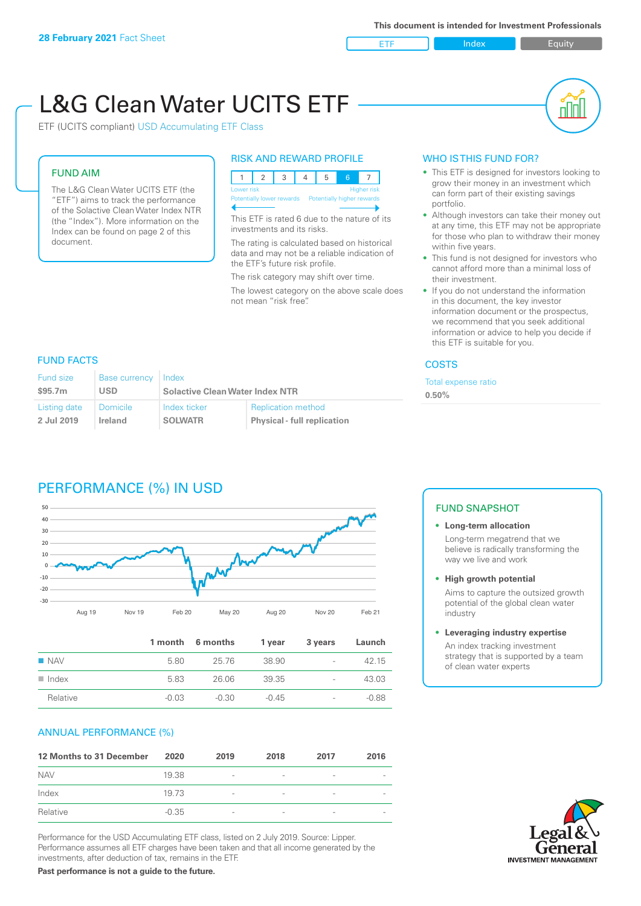ETF Index Buity

nN

# L&G Clean Water UCITS ETF

ETF (UCITS compliant) USD Accumulating ETF Class

# FUND AIM

The L&G Clean Water UCITS ETF (the "ETF") aims to track the performance of the Solactive Clean Water Index NTR (the "Index"). More information on the Index can be found on page 2 of this document.

#### RISK AND REWARD PROFILE



This ETF is rated 6 due to the nature of its investments and its risks.

The rating is calculated based on historical data and may not be a reliable indication of the ETF's future risk profile.

The risk category may shift over time.

The lowest category on the above scale does not mean "risk free".

### WHO IS THIS FUND FOR?

- This ETF is designed for investors looking to grow their money in an investment which can form part of their existing savings portfolio.
- Although investors can take their money out at any time, this ETF may not be appropriate for those who plan to withdraw their money within five years.
- This fund is not designed for investors who cannot afford more than a minimal loss of their investment.
- If you do not understand the information in this document, the key investor information document or the prospectus, we recommend that you seek additional information or advice to help you decide if this ETF is suitable for you.

#### **COSTS**

ense ratio

#### FUND FACTS

| Fund size    | <b>Base currency</b> | Index                                  |                                    | <b>Total exp</b> |
|--------------|----------------------|----------------------------------------|------------------------------------|------------------|
| \$95.7m      | USD                  | <b>Solactive Clean Water Index NTR</b> |                                    | $0.50\%$         |
| Listing date | <b>Domicile</b>      | Index ticker                           | <b>Replication method</b>          |                  |
| 2 Jul 2019   | Ireland              | <b>SOLWATR</b>                         | <b>Physical - full replication</b> |                  |

# PERFORMANCE (%) IN USD



|                      |         | 1 month 6 months | 1 year  | 3 years                  | Launch  |
|----------------------|---------|------------------|---------|--------------------------|---------|
| $\blacksquare$ NAV   | 5.80    | 25.76            | 38.90   | $\overline{\phantom{a}}$ | 42.15   |
| $\blacksquare$ Index | 5.83    | 26.06            | 39.35   | $\overline{\phantom{a}}$ | 43.03   |
| Relative             | $-0.03$ | -0.30            | $-0.45$ | $\overline{\phantom{a}}$ | $-0.88$ |

#### ANNUAL PERFORMANCE (%)

| 12 Months to 31 December | 2020    | 2019                     | 2018 | 2017                     | 2016 |
|--------------------------|---------|--------------------------|------|--------------------------|------|
| <b>NAV</b>               | 19.38   | $\overline{\phantom{0}}$ |      | $\qquad \qquad$          |      |
| Index                    | 19.73   | $\overline{\phantom{a}}$ |      | ۰                        |      |
| Relative                 | $-0.35$ | $\overline{\phantom{a}}$ |      | $\overline{\phantom{0}}$ |      |

Performance for the USD Accumulating ETF class, listed on 2 July 2019. Source: Lipper. Performance assumes all ETF charges have been taken and that all income generated by the investments, after deduction of tax, remains in the ETF.

FUND SNAPSHOT

#### **• Long-term allocation** Long-term megatrend that we believe is radically transforming the way we live and work

**• High growth potential**

Aims to capture the outsized growth potential of the global clean water industry

#### **• Leveraging industry expertise**

An index tracking investment strategy that is supported by a team of clean water experts

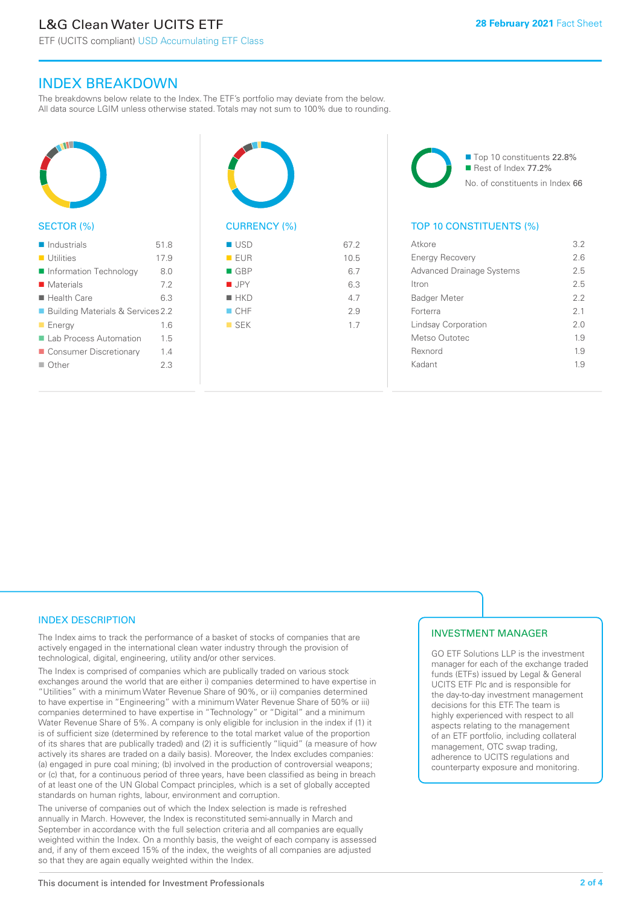ETF (UCITS compliant) USD Accumulating ETF Class

# INDEX BREAKDOWN

The breakdowns below relate to the Index. The ETF's portfolio may deviate from the below. All data source LGIM unless otherwise stated. Totals may not sum to 100% due to rounding.



#### SECTOR (%)

| $\blacksquare$ Industrials          | 518  |
|-------------------------------------|------|
| $\blacksquare$ Utilities            | 17.9 |
| Information Technology              | 8.0  |
| ■ Materials                         | 72   |
| $\blacksquare$ Health Care          | 6.3  |
| ■ Building Materials & Services 2.2 |      |
| $\blacksquare$ Energy               | 16   |
| Lab Process Automation              | 15   |
| ■ Consumer Discretionary            | 14   |
| ■ Other                             | 23   |
|                                     |      |



# $\blacksquare$  USD 67.2

| EUR                | 10.5 |
|--------------------|------|
| $\blacksquare$ GBP | 6.7  |
| $\blacksquare$ JPY | 6.3  |
| $H$ HKD            | 4.7  |
| $\Box$ CHF         | 2.9  |
| $\blacksquare$ SEK | 1.7  |
|                    |      |
|                    |      |

■ Top 10 constituents 22.8% Rest of Index 77.2% No. of constituents in Index 66

## TOP 10 CONSTITUENTS (%)

| Atkore                           | 32  |
|----------------------------------|-----|
| <b>Energy Recovery</b>           | 2.6 |
| <b>Advanced Drainage Systems</b> | 2.5 |
| <b>Itron</b>                     | 25  |
| <b>Badger Meter</b>              | 2.2 |
| Forterra                         | 21  |
| Lindsay Corporation              | 2.0 |
| Metso Outotec                    | 1.9 |
| Rexnord                          | 1.9 |
| Kadant                           | 19  |
|                                  |     |

### INDEX DESCRIPTION

The Index aims to track the performance of a basket of stocks of companies that are actively engaged in the international clean water industry through the provision of technological, digital, engineering, utility and/or other services.

The Index is comprised of companies which are publically traded on various stock exchanges around the world that are either i) companies determined to have expertise in "Utilities" with a minimum Water Revenue Share of 90%, or ii) companies determined to have expertise in "Engineering" with a minimum Water Revenue Share of 50% or iii) companies determined to have expertise in "Technology" or "Digital" and a minimum Water Revenue Share of 5%. A company is only eligible for inclusion in the index if (1) it is of sufficient size (determined by reference to the total market value of the proportion of its shares that are publically traded) and (2) it is sufficiently "liquid" (a measure of how actively its shares are traded on a daily basis). Moreover, the Index excludes companies: (a) engaged in pure coal mining; (b) involved in the production of controversial weapons; or (c) that, for a continuous period of three years, have been classified as being in breach of at least one of the UN Global Compact principles, which is a set of globally accepted standards on human rights, labour, environment and corruption.

The universe of companies out of which the Index selection is made is refreshed annually in March. However, the Index is reconstituted semi-annually in March and September in accordance with the full selection criteria and all companies are equally weighted within the Index. On a monthly basis, the weight of each company is assessed and, if any of them exceed 15% of the index, the weights of all companies are adjusted so that they are again equally weighted within the Index.

## INVESTMENT MANAGER

GO ETF Solutions LLP is the investment manager for each of the exchange traded funds (ETFs) issued by Legal & General UCITS ETF Plc and is responsible for the day-to-day investment management decisions for this ETF. The team is highly experienced with respect to all aspects relating to the management of an ETF portfolio, including collateral management, OTC swap trading, adherence to UCITS regulations and counterparty exposure and monitoring.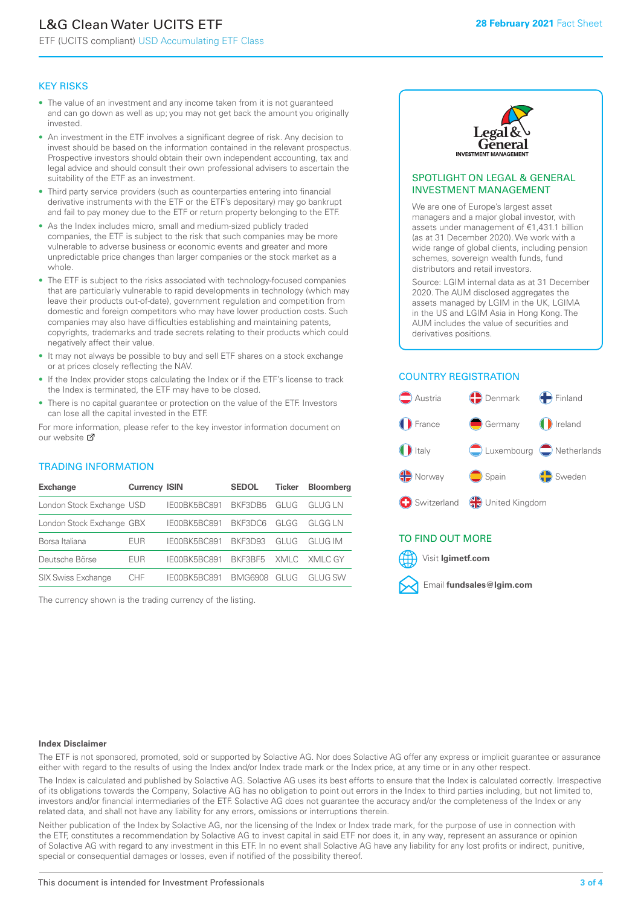# L&G Clean Water UCITS ETF

ETF (UCITS compliant) USD Accumulating ETF Class

#### KEY RISKS

- The value of an investment and any income taken from it is not guaranteed and can go down as well as up; you may not get back the amount you originally invested.
- An investment in the ETF involves a significant degree of risk. Any decision to invest should be based on the information contained in the relevant prospectus. Prospective investors should obtain their own independent accounting, tax and legal advice and should consult their own professional advisers to ascertain the suitability of the ETF as an investment.
- Third party service providers (such as counterparties entering into financial derivative instruments with the ETF or the ETF's depositary) may go bankrupt and fail to pay money due to the ETF or return property belonging to the ETF.
- As the Index includes micro, small and medium-sized publicly traded companies, the ETF is subject to the risk that such companies may be more vulnerable to adverse business or economic events and greater and more unpredictable price changes than larger companies or the stock market as a whole
- The ETF is subject to the risks associated with technology-focused companies that are particularly vulnerable to rapid developments in technology (which may leave their products out-of-date), government regulation and competition from domestic and foreign competitors who may have lower production costs. Such companies may also have difficulties establishing and maintaining patents, copyrights, trademarks and trade secrets relating to their products which could negatively affect their value.
- It may not always be possible to buy and sell ETF shares on a stock exchange or at prices closely reflecting the NAV.
- If the Index provider stops calculating the Index or if the ETF's license to track the Index is terminated, the ETF may have to be closed.
- There is no capital guarantee or protection on the value of the ETF. Investors can lose all the capital invested in the ETF.

For more in[form](https://www.lgimetf.com/)ation, please refer to the key investor information document on our website <sup>7</sup>

#### TRADING INFORMATION

| <b>Exchange</b>           | <b>Currency ISIN</b> |              | <b>SEDOL</b> | <b>Ticker</b> | <b>Bloomberg</b> |
|---------------------------|----------------------|--------------|--------------|---------------|------------------|
| London Stock Exchange USD |                      | IE00BK5BC891 | BKE3DB5      | GLUG          | GI UG I N        |
| London Stock Exchange GBX |                      | IE00BK5BC891 | BKF3DC6      | GLGG          | GI GG I N        |
| Borsa Italiana            | <b>EUR</b>           | IE00BK5BC891 | BKF3D93      | GI UG         | GI UG IM         |
| Deutsche Börse            | EUR                  | IE00BK5BC891 | BKF3BF5      | XMLC          | - XMI C GY       |
| <b>SIX Swiss Exchange</b> | CHE                  | IE00BK5BC891 | BMG6908      | GLUG          | GI UG SW         |

The currency shown is the trading currency of the listing.



#### SPOTLIGHT ON LEGAL & GENERAL INVESTMENT MANAGEMENT

We are one of Europe's largest asset managers and a major global investor, with assets under management of €1,431.1 billion (as at 31 December 2020). We work with a wide range of global clients, including pension schemes, sovereign wealth funds, fund distributors and retail investors.

Source: LGIM internal data as at 31 December 2020. The AUM disclosed aggregates the assets managed by LGIM in the UK, LGIMA in the US and LGIM Asia in Hong Kong. The AUM includes the value of securities and derivatives positions.

#### COUNTRY REGISTRATION



## TO FIND OUT MORE



#### **Index Disclaimer**

The ETF is not sponsored, promoted, sold or supported by Solactive AG. Nor does Solactive AG offer any express or implicit guarantee or assurance either with regard to the results of using the Index and/or Index trade mark or the Index price, at any time or in any other respect.

The Index is calculated and published by Solactive AG. Solactive AG uses its best efforts to ensure that the Index is calculated correctly. Irrespective of its obligations towards the Company, Solactive AG has no obligation to point out errors in the Index to third parties including, but not limited to, investors and/or financial intermediaries of the ETF. Solactive AG does not guarantee the accuracy and/or the completeness of the Index or any related data, and shall not have any liability for any errors, omissions or interruptions therein.

Neither publication of the Index by Solactive AG, nor the licensing of the Index or Index trade mark, for the purpose of use in connection with the ETF, constitutes a recommendation by Solactive AG to invest capital in said ETF nor does it, in any way, represent an assurance or opinion of Solactive AG with regard to any investment in this ETF. In no event shall Solactive AG have any liability for any lost profits or indirect, punitive, special or consequential damages or losses, even if notified of the possibility thereof.